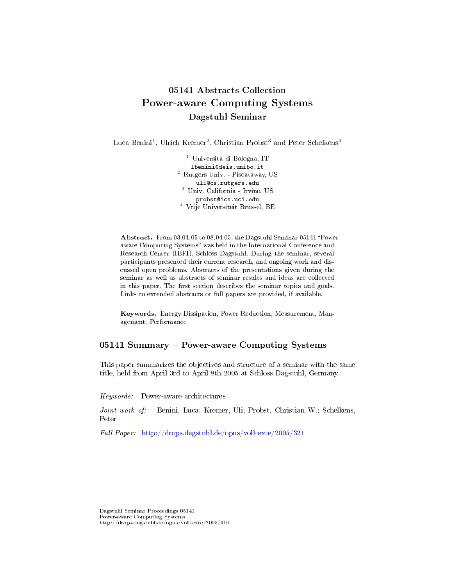# 05141 Abstracts Collection Power-aware Computing Systems - Dagstuhl Seminar

Luca Benini<sup>1</sup>, Ulrich Kremer<sup>2</sup>, Christian Probst<sup>3</sup> and Peter Schelkens<sup>4</sup>

<sup>1</sup> Università di Bologna, IT lbenini@deis.unibo.it <sup>2</sup> Rutgers Univ. - Piscataway, US uli@cs.rutgers.edu <sup>3</sup> Univ. California - Irvine, US probst@ics.uci.edu <sup>4</sup> Vrije Universiteit Brussel, BE

Abstract. From 03.04.05 to 08.04.05, the Dagstuhl Seminar 05141 "Poweraware Computing Systems" was held in the International Conference and Research Center (IBFI), Schloss Dagstuhl. During the seminar, several participants presented their current research, and ongoing work and discussed open problems. Abstracts of the presentations given during the seminar as well as abstracts of seminar results and ideas are collected in this paper. The first section describes the seminar topics and goals. Links to extended abstracts or full papers are provided, if available.

Keywords. Energy Dissipation, Power Reduction, Measurement, Management, Performance

### 05141 Summary - Power-aware Computing Systems

This paper summarizes the objectives and structure of a seminar with the same title, held from April 3rd to April 8th 2005 at Schloss Dagstuhl, Germany.

Keywords: Power-aware architectures

Joint work of: Benini, Luca; Kremer, Uli; Probst, Christian W.; Schelkens, Peter

Full Paper: <http://drops.dagstuhl.de/opus/volltexte/2005/321>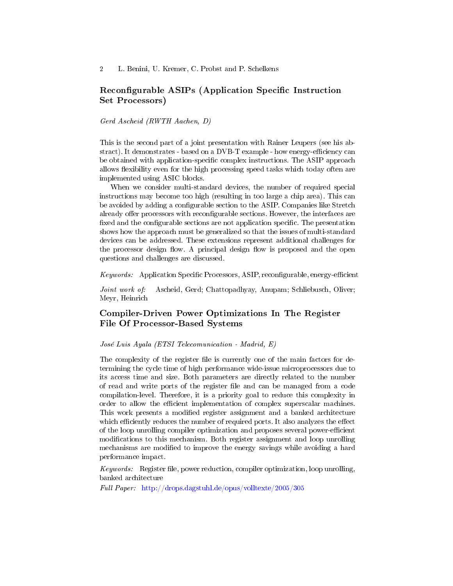# Reconfigurable ASIPs (Application Specific Instruction Set Processors)

Gerd Ascheid (RWTH Aachen, D)

This is the second part of a joint presentation with Rainer Leupers (see his abstract). It demonstrates - based on a  $DVB-T$  example - how energy-efficiency can be obtained with application-specific complex instructions. The ASIP approach allows flexibility even for the high processing speed tasks which today often are implemented using ASIC blocks.

When we consider multi-standard devices, the number of required special instructions may become too high (resulting in too large a chip area). This can be avoided by adding a configurable section to the ASIP. Companies like Stretch already offer processors with reconfigurable sections. However, the interfaces are fixed and the configurable sections are not application specific. The presentation shows how the approach must be generalized so that the issues of multi-standard devices can be addressed. These extensions represent additional challenges for the processor design flow. A principal design flow is proposed and the open questions and challenges are discussed.

 $Keywords:$  Application Specific Processors, ASIP, reconfigurable, energy-efficient

Joint work of: Ascheid, Gerd; Chattopadhyay, Anupam; Schliebusch, Oliver; Meyr, Heinrich

# Compiler-Driven Power Optimizations In The Register File Of Processor-Based Systems

José Luis Ayala (ETSI Telecomunication - Madrid, E)

The complexity of the register file is currently one of the main factors for determining the cycle time of high performance wide-issue microprocessors due to its access time and size. Both parameters are directly related to the number of read and write ports of the register file and can be managed from a code compilation-level. Therefore, it is a priority goal to reduce this complexity in order to allow the efficient implementation of complex superscalar machines. This work presents a modified register assignment and a banked architecture which efficiently reduces the number of required ports. It also analyzes the effect of the loop unrolling compiler optimization and proposes several power-efficient modifications to this mechanism. Both register assignment and loop unrolling mechanisms are modified to improve the energy savings while avoiding a hard performance impact.

 $Keywords:$  Register file, power reduction, compiler optimization, loop unrolling, banked architecture

Full Paper: <http://drops.dagstuhl.de/opus/volltexte/2005/305>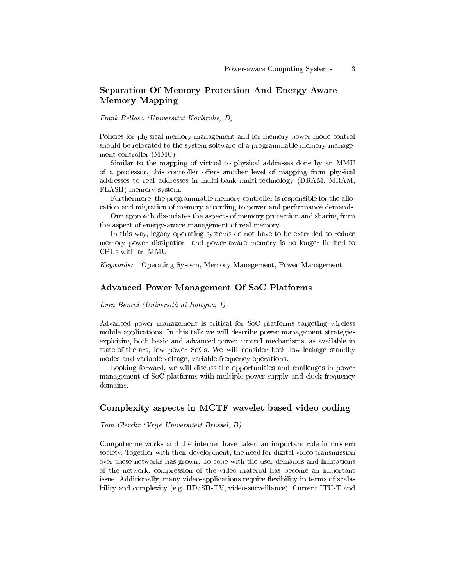# Separation Of Memory Protection And Energy-Aware Memory Mapping

Frank Bellosa (Universität Karlsruhe, D)

Policies for physical memory management and for memory power mode control should be relocated to the system software of a programmable memory management controller (MMC).

Similar to the mapping of virtual to physical addresses done by an MMU of a processor, this controller offers another level of mapping from physical addresses to real addresses in multi-bank multi-technology (DRAM, MRAM, FLASH) memory system.

Furthermore, the programmable memory controller is responsible for the allocation and migration of memory according to power and performance demands.

Our approach dissociates the aspects of memory protection and sharing from the aspect of energy-aware management of real memory.

In this way, legacy operating systems do not have to be extended to reduce memory power dissipation, and power-aware memory is no longer limited to CPUs with an MMU.

Keywords: Operating System, Memory Management, Power Management

#### Advanced Power Management Of SoC Platforms

Luca Benini (Università di Bologna, I)

Advanced power management is critical for SoC platforms targeting wireless mobile applications. In this talk we will describe power management strategies exploiting both basic and advanced power control mechanisms, as available in state-of-the-art, low power SoCs. We will consider both low-leakage standby modes and variable-voltage, variable-frequency operations.

Looking forward, we will discuss the opportunities and challenges in power management of SoC platforms with multiple power supply and clock frequency domains.

#### Complexity aspects in MCTF wavelet based video coding

Tom Clerckx (Vrije Universiteit Brussel, B)

Computer networks and the internet have taken an important role in modern society. Together with their development, the need for digital video transmission over these networks has grown. To cope with the user demands and limitations of the network, compression of the video material has become an important issue. Additionally, many video-applications require flexibility in terms of scalability and complexity (e.g. HD/SD-TV, video-surveillance). Current ITU-T and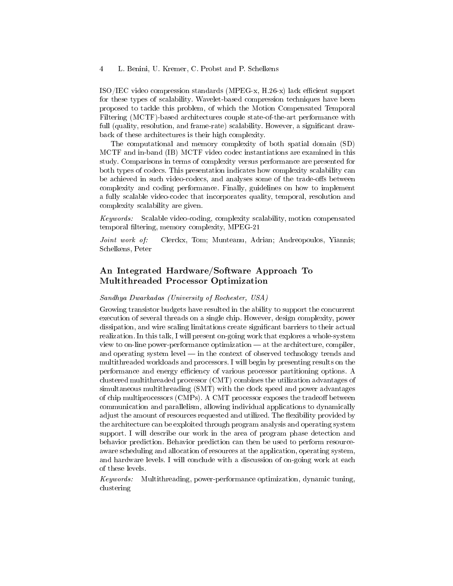$ISO/IEC$  video compression standards (MPEG-x,  $H.26-x$ ) lack efficient support for these types of scalability. Wavelet-based compression techniques have been proposed to tackle this problem, of which the Motion Compensated Temporal Filtering (MCTF)-based architectures couple state-of-the-art performance with full (quality, resolution, and frame-rate) scalability. However, a significant drawback of these architectures is their high complexity.

The computational and memory complexity of both spatial domain (SD) MCTF and in-band (IB) MCTF video codec instantiations are examined in this study. Comparisons in terms of complexity versus performance are presented for both types of codecs. This presentation indicates how complexity scalability can be achieved in such video-codecs, and analyses some of the trade-offs between complexity and coding performance. Finally, guidelines on how to implement a fully scalable video-codec that incorporates quality, temporal, resolution and complexity scalability are given.

Keywords: Scalable video-coding, complexity scalability, motion compensated temporal filtering, memory complexity, MPEG-21

Joint work of: Clerckx, Tom; Munteanu, Adrian; Andreopoulos, Yiannis; Schelkens, Peter

# An Integrated Hardware/Software Approach To Multithreaded Processor Optimization

### Sandhya Dwarkadas (University of Rochester, USA)

Growing transistor budgets have resulted in the ability to support the concurrent execution of several threads on a single chip. However, design complexity, power dissipation, and wire scaling limitations create signicant barriers to their actual realization. In this talk, I will present on-going work that explores a whole-system view to on-line power-performance optimization  $-$  at the architecture, compiler, and operating system level  $-$  in the context of observed technology trends and multithreaded workloads and processors. I will begin by presenting results on the performance and energy efficiency of various processor partitioning options. A clustered multithreaded processor (CMT) combines the utilization advantages of simultaneous multithreading (SMT) with the clock speed and power advantages of chip multiprocessors (CMPs). A CMT processor exposes the tradeoff between communication and parallelism, allowing individual applications to dynamically adjust the amount of resources requested and utilized. The flexibility provided by the architecture can be exploited through program analysis and operating system support. I will describe our work in the area of program phase detection and behavior prediction. Behavior prediction can then be used to perform resourceaware scheduling and allocation of resources at the application, operating system, and hardware levels. I will conclude with a discussion of on-going work at each of these levels.

Keywords: Multithreading, power-performance optimization, dynamic tuning, clustering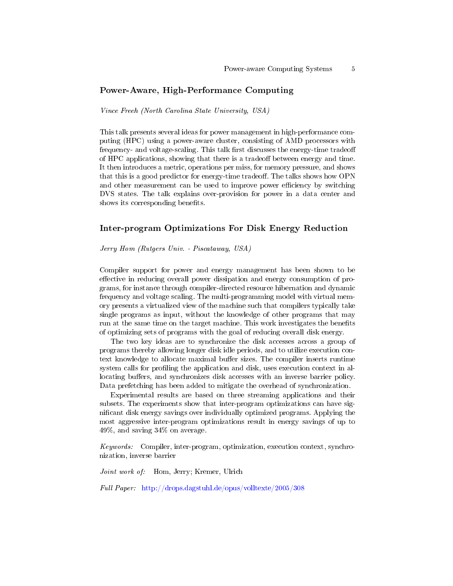### Power-Aware, High-Performance Computing

Vince Freeh (North Carolina State University, USA)

This talk presents several ideas for power management in high-performance computing (HPC) using a power-aware cluster, consisting of AMD processors with frequency- and voltage-scaling. This talk first discusses the energy-time tradeoff of HPC applications, showing that there is a tradeoff between energy and time. It then introduces a metric, operations per miss, for memory pressure, and shows that this is a good predictor for energy-time tradeor. The talks shows how OPN and other measurement can be used to improve power efficiency by switching DVS states. The talk explains over-provision for power in a data center and shows its corresponding benefits.

#### Inter-program Optimizations For Disk Energy Reduction

Jerry Hom (Rutgers Univ. - Piscataway, USA)

Compiler support for power and energy management has been shown to be effective in reducing overall power dissipation and energy consumption of programs, for instance through compiler-directed resource hibernation and dynamic frequency and voltage scaling. The multi-programming model with virtual memory presents a virtualized view of the machine such that compilers typically take single programs as input, without the knowledge of other programs that may run at the same time on the target machine. This work investigates the benefits of optimizing sets of programs with the goal of reducing overall disk energy.

The two key ideas are to synchronize the disk accesses across a group of programs thereby allowing longer disk idle periods, and to utilize execution context knowledge to allocate maximal buffer sizes. The compiler inserts runtime system calls for profiling the application and disk, uses execution context in allocating buffers, and synchronizes disk accesses with an inverse barrier policy. Data prefetching has been added to mitigate the overhead of synchronization.

Experimental results are based on three streaming applications and their subsets. The experiments show that inter-program optimizations can have signicant disk energy savings over individually optimized programs. Applying the most aggressive inter-program optimizations result in energy savings of up to 49%, and saving 34% on average.

Keywords: Compiler, inter-program, optimization, execution context, synchronization, inverse barrier

Joint work of: Hom, Jerry; Kremer, Ulrich

Full Paper: <http://drops.dagstuhl.de/opus/volltexte/2005/308>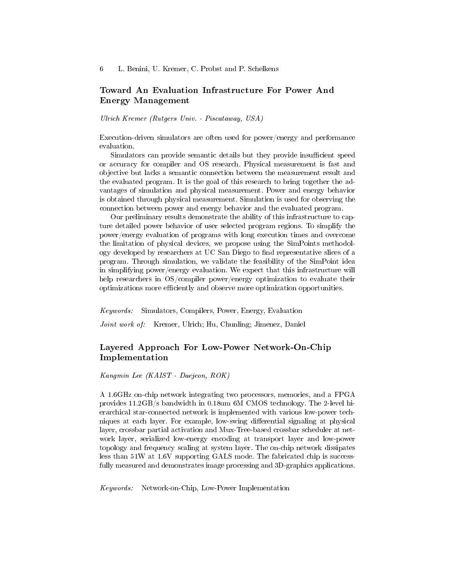### Toward An Evaluation Infrastructure For Power And Energy Management

Ulrich Kremer (Rutgers Univ. - Piscataway, USA)

Execution-driven simulators are often used for power/energy and performance evaluation.

Simulators can provide semantic details but they provide insufficient speed or accuracy for compiler and OS research. Physical measurement is fast and objective but lacks a semantic connection between the measurement result and the evaluated program. It is the goal of this research to bring together the advantages of simulation and physical measurement. Power and energy behavior is obtained through physical measurement. Simulation is used for observing the connection between power and energy behavior and the evaluated program.

Our preliminary results demonstrate the ability of this infrastructure to capture detailed power behavior of user selected program regions. To simplify the power/energy evaluation of programs with long execution times and overcome the limitation of physical devices, we propose using the SimPoints methodology developed by researchers at UC San Diego to find representative slices of a program. Through simulation, we validate the feasibility of the SimPoint idea in simplifying power/energy evaluation. We expect that this infrastructure will help researchers in OS/compiler power/energy optimization to evaluate their optimizations more efficiently and observe more optimization opportunities.

Keywords: Simulators, Compilers, Power, Energy, Evaluation

Joint work of: Kremer, Ulrich; Hu, Chunling; Jimenez, Daniel

# Layered Approach For Low-Power Network-On-Chip Implementation

Kangmin Lee (KAIST - Daejeon, ROK)

A 1.6GHz on-chip network integrating two processors, memories, and a FPGA provides 11.2GB/s bandwidth in 0.18um 6M CMOS technology. The 2-level hierarchical star-connected network is implemented with various low-power techniques at each layer. For example, low-swing differential signaling at physical layer, crossbar partial activation and Mux-Tree-based crossbar scheduler at network layer, serialized low-energy encoding at transport layer and low-power topology and frequency scaling at system layer. The on-chip network dissipates less than 51W at 1.6V supporting GALS mode. The fabricated chip is successfully measured and demonstrates image processing and 3D-graphics applications.

Keywords: Network-on-Chip, Low-Power Implementation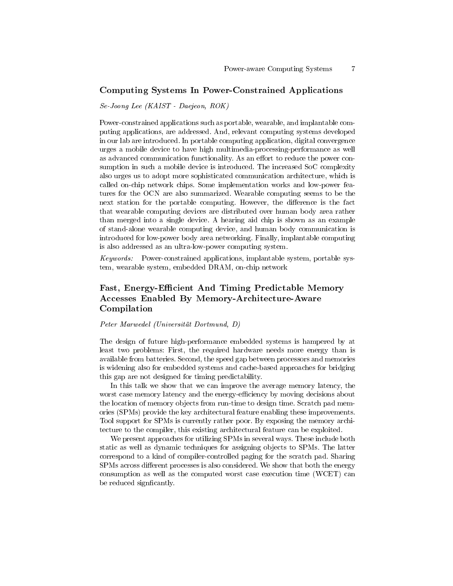### Computing Systems In Power-Constrained Applications

Se-Joong Lee (KAIST - Daejeon, ROK)

Power-constrained applications such as portable, wearable, and implantable computing applications, are addressed. And, relevant computing systems developed in our lab are introduced. In portable computing application, digital convergence urges a mobile device to have high multimedia-processing-performance as well as advanced communication functionality. As an effort to reduce the power consumption in such a mobile device is introduced. The increased SoC complexity also urges us to adopt more sophisticated communication architecture, which is called on-chip network chips. Some implementation works and low-power features for the OCN are also summarized. Wearable computing seems to be the next station for the portable computing. However, the difference is the fact that wearable computing devices are distributed over human body area rather than merged into a single device. A hearing aid chip is shown as an example of stand-alone wearable computing device, and human body communication is introduced for low-power body area networking. Finally, implantable computing is also addressed as an ultra-low-power computing system.

Keywords: Power-constrained applications, implantable system, portable system, wearable system, embedded DRAM, on-chip network

# Fast, Energy-Efficient And Timing Predictable Memory Accesses Enabled By Memory-Architecture-Aware Compilation

Peter Marwedel (Universität Dortmund, D)

The design of future high-performance embedded systems is hampered by at least two problems: First, the required hardware needs more energy than is available from batteries. Second, the speed gap between processors and memories is widening also for embedded systems and cache-based approaches for bridging this gap are not designed for timing predictability.

In this talk we show that we can improve the average memory latency, the worst case memory latency and the energy-efficiency by moving decisions about the location of memory objects from run-time to design time. Scratch pad memories (SPMs) provide the key architectural feature enabling these improvements. Tool support for SPMs is currently rather poor. By exposing the memory architecture to the compiler, this existing architectural feature can be exploited.

We present approaches for utilizing SPMs in several ways. These include both static as well as dynamic techniques for assigning objects to SPMs. The latter correspond to a kind of compiler-controlled paging for the scratch pad. Sharing SPMs across different processes is also considered. We show that both the energy consumption as well as the computed worst case execution time (WCET) can be reduced signficantly.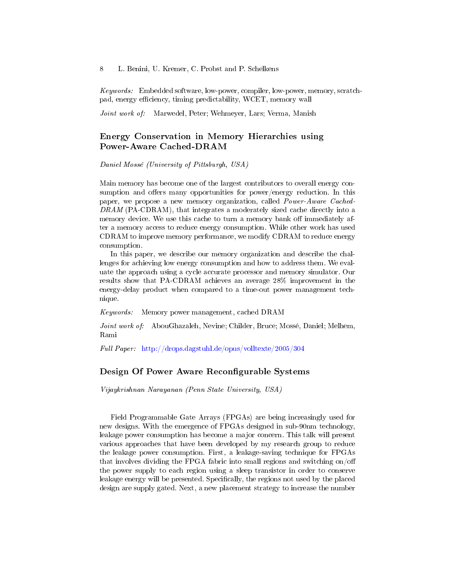Keywords: Embedded software, low-power, compiler, low-power, memory, scratchpad, energy efficiency, timing predictability, WCET, memory wall

Joint work of: Marwedel, Peter; Wehmeyer, Lars; Verma, Manish

### Energy Conservation in Memory Hierarchies using Power-Aware Cached-DRAM

Daniel Mossé (University of Pittsburgh, USA)

Main memory has become one of the largest contributors to overall energy consumption and offers many opportunities for power/energy reduction. In this paper, we propose a new memory organization, called Power-Aware Cached-DRAM (PA-CDRAM), that integrates a moderately sized cache directly into a memory device. We use this cache to turn a memory bank off immediately after a memory access to reduce energy consumption. While other work has used CDRAM to improve memory performance, we modify CDRAM to reduce energy consumption.

In this paper, we describe our memory organization and describe the challenges for achieving low energy consumption and how to address them. We evaluate the approach using a cycle accurate processor and memory simulator. Our results show that PA-CDRAM achieves an average 28% improvement in the energy-delay product when compared to a time-out power management technique.

Keywords: Memory power management, cached DRAM

Joint work of: AbouGhazaleh, Nevine; Childer, Bruce; Mossé, Daniel; Melhem, Rami

Full Paper: <http://drops.dagstuhl.de/opus/volltexte/2005/304>

### Design Of Power Aware Reconfigurable Systems

Vijaykrishnan Narayanan (Penn State University, USA)

Field Programmable Gate Arrays (FPGAs) are being increasingly used for new designs. With the emergence of FPGAs designed in sub-90nm technology, leakage power consumption has become a major concern. This talk will present various approaches that have been developed by my research group to reduce the leakage power consumption. First, a leakage-saving technique for FPGAs that involves dividing the FPGA fabric into small regions and switching on/off the power supply to each region using a sleep transistor in order to conserve leakage energy will be presented. Specifically, the regions not used by the placed design are supply gated. Next, a new placement strategy to increase the number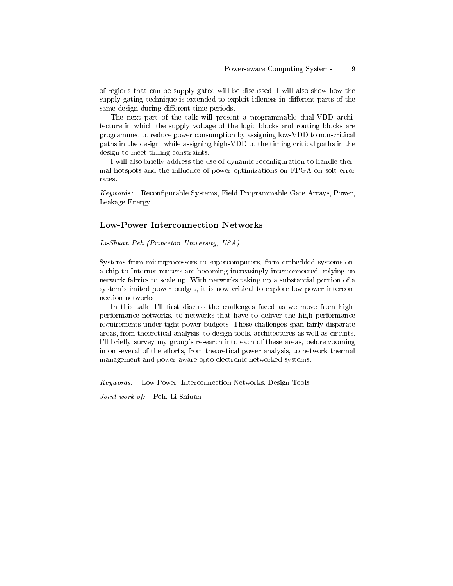of regions that can be supply gated will be discussed. I will also show how the supply gating technique is extended to exploit idleness in different parts of the same design during different time periods.

The next part of the talk will present a programmable dual-VDD architecture in which the supply voltage of the logic blocks and routing blocks are programmed to reduce power consumption by assigning low-VDD to non-critical paths in the design, while assigning high-VDD to the timing critical paths in the design to meet timing constraints.

I will also briefly address the use of dynamic reconfiguration to handle thermal hotspots and the influence of power optimizations on FPGA on soft error rates.

Keywords: Reconfigurable Systems, Field Programmable Gate Arrays, Power, Leakage Energy

### Low-Power Interconnection Networks

Li-Shuan Peh (Princeton University, USA)

Systems from microprocessors to supercomputers, from embedded systems-ona-chip to Internet routers are becoming increasingly interconnected, relying on network fabrics to scale up. With networks taking up a substantial portion of a system's imited power budget, it is now critical to explore low-power interconnection networks.

In this talk, I'll first discuss the challenges faced as we move from highperformance networks, to networks that have to deliver the high performance requirements under tight power budgets. These challenges span fairly disparate areas, from theoretical analysis, to design tools, architectures as well as circuits. I'll briefly survey my group's research into each of these areas, before zooming in on several of the efforts, from theoretical power analysis, to network thermal management and power-aware opto-electronic networked systems.

Keywords: Low Power, Interconnection Networks, Design Tools

Joint work of: Peh, Li-Shiuan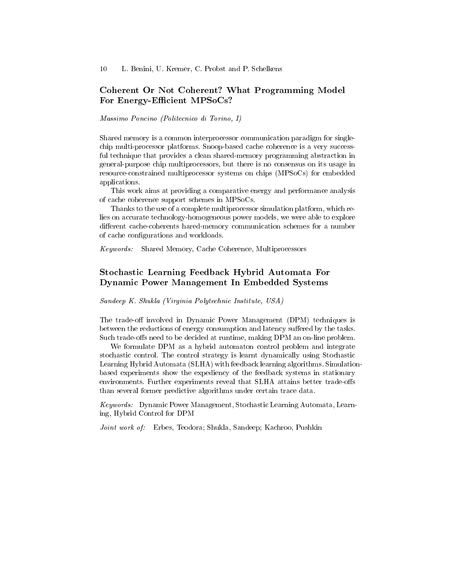### Coherent Or Not Coherent? What Programming Model For Energy-Efficient MPSoCs?

Massimo Poncino (Politecnico di Torino, I)

Shared memory is a common interprocessor communication paradigm for singlechip multi-processor platforms. Snoop-based cache coherence is a very successful technique that provides a clean shared-memory programming abstraction in general-purpose chip multiprocessors, but there is no consensus on its usage in resource-constrained multiprocessor systems on chips (MPSoCs) for embedded applications.

This work aims at providing a comparative energy and performance analysis of cache coherence support schemes in MPSoCs.

Thanks to the use of a complete multiprocessor simulation platform, which relies on accurate technology-homogeneous power models, we were able to explore different cache-coherents hared-memory communication schemes for a number of cache configurations and workloads.

Keywords: Shared Memory, Cache Coherence, Multiprocessors

# Stochastic Learning Feedback Hybrid Automata For Dynamic Power Management In Embedded Systems

Sandeep K. Shukla (Virginia Polytechnic Institute, USA)

The trade-off involved in Dynamic Power Management (DPM) techniques is between the reductions of energy consumption and latency suffered by the tasks. Such trade-offs need to be decided at runtime, making DPM an on-line problem.

We formulate DPM as a hybrid automaton control problem and integrate stochastic control. The control strategy is learnt dynamically using Stochastic Learning Hybrid Automata (SLHA) with feedback learning algorithms. Simulationbased experiments show the expediency of the feedback systems in stationary environments. Further experiments reveal that SLHA attains better trade-offs than several former predictive algorithms under certain trace data.

Keywords: Dynamic Power Management, Stochastic Learning Automata, Learning, Hybrid Control for DPM

Joint work of: Erbes, Teodora; Shukla, Sandeep; Kachroo, Pushkin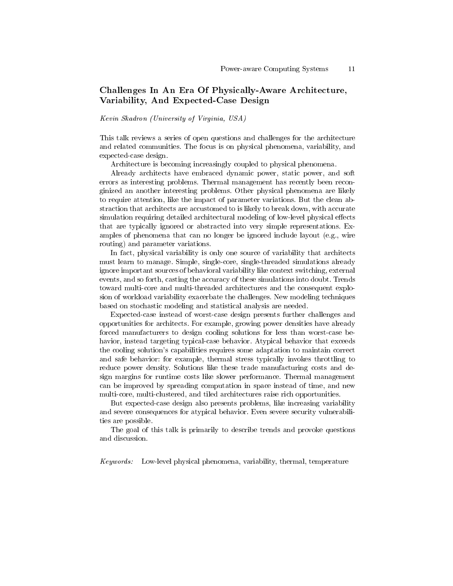# Challenges In An Era Of Physically-Aware Architecture, Variability, And Expected-Case Design

Kevin Skadron (University of Virginia, USA)

This talk reviews a series of open questions and challenges for the architecture and related communities. The focus is on physical phenomena, variability, and expected-case design.

Architecture is becoming increasingly coupled to physical phenomena.

Already architects have embraced dynamic power, static power, and soft errors as interesting problems. Thermal management has recently been reconginized an another interesting problems. Other physical phenomena are likely to require attention, like the impact of parameter variations. But the clean abstraction that architects are accustomed to is likely to break down, with accurate simulation requiring detailed architectural modeling of low-level physical effects that are typically ignored or abstracted into very simple representations. Examples of phenomena that can no longer be ignored include layout (e.g., wire routing) and parameter variations.

In fact, physical variability is only one source of variability that architects must learn to manage. Simple, single-core, single-threaded simulations already ignore important sources of behavioral variability like context switching, external events, and so forth, casting the accuracy of these simulations into doubt. Trends toward multi-core and multi-threaded architectures and the consequent explosion of workload variability exacerbate the challenges. New modeling techniques based on stochastic modeling and statistical analysis are needed.

Expected-case instead of worst-case design presents further challenges and opportunities for architects. For example, growing power densities have already forced manufacturers to design cooling solutions for less than worst-case behavior, instead targeting typical-case behavior. Atypical behavior that exceeds the cooling solution's capabilities requires some adaptation to maintain correct and safe behavior: for example, thermal stress typically invokes throttling to reduce power density. Solutions like these trade manufacturing costs and design margins for runtime costs like slower performance. Thermal management can be improved by spreading computation in space instead of time, and new multi-core, multi-clustered, and tiled architectures raise rich opportunities.

But expected-case design also presents problems, like increasing variability and severe consequences for atypical behavior. Even severe security vulnerabilities are possible.

The goal of this talk is primarily to describe trends and provoke questions and discussion.

Keywords: Low-level physical phenomena, variability, thermal, temperature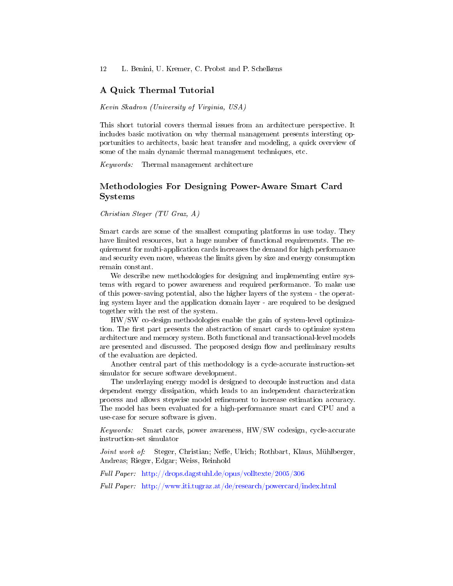### A Quick Thermal Tutorial

Kevin Skadron (University of Virginia, USA)

This short tutorial covers thermal issues from an architecture perspective. It includes basic motivation on why thermal management presents intersting opportunities to architects, basic heat transfer and modeling, a quick overview of some of the main dynamic thermal management techniques, etc.

Keywords: Thermal management architecture

# Methodologies For Designing Power-Aware Smart Card Systems

Christian Steger (TU Graz, A)

Smart cards are some of the smallest computing platforms in use today. They have limited resources, but a huge number of functional requirements. The requirement for multi-application cards increases the demand for high performance and security even more, whereas the limits given by size and energy consumption remain constant.

We describe new methodologies for designing and implementing entire systems with regard to power awareness and required performance. To make use of this power-saving potential, also the higher layers of the system - the operating system layer and the application domain layer - are required to be designed together with the rest of the system.

HW/SW co-design methodologies enable the gain of system-level optimization. The first part presents the abstraction of smart cards to optimize system architecture and memory system. Both functional and transactional-level models are presented and discussed. The proposed design flow and preliminary results of the evaluation are depicted.

Another central part of this methodology is a cycle-accurate instruction-set simulator for secure software development.

The underlaying energy model is designed to decouple instruction and data dependent energy dissipation, which leads to an independent characterization process and allows stepwise model refinement to increase estimation accuracy. The model has been evaluated for a high-performance smart card CPU and a use-case for secure software is given.

Keywords: Smart cards, power awareness, HW/SW codesign, cycle-accurate instruction-set simulator

Joint work of: Steger, Christian; Neffe, Ulrich; Rothbart, Klaus, Mühlberger, Andreas; Rieger, Edgar; Weiss, Reinhold

Full Paper: <http://drops.dagstuhl.de/opus/volltexte/2005/306>

Full Paper: <http://www.iti.tugraz.at/de/research/powercard/index.html>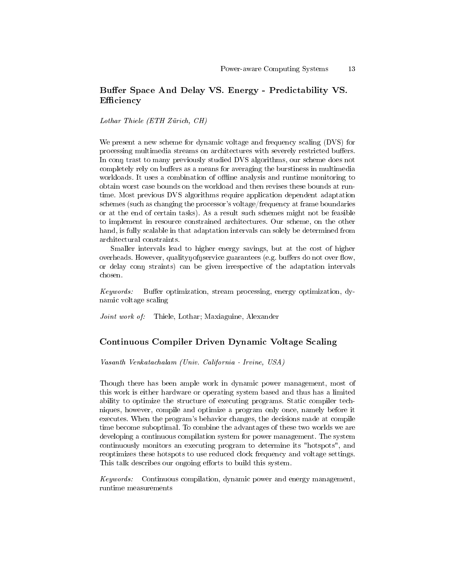# Buffer Space And Delay VS. Energy - Predictability VS. Efficiency

Lothar Thiele (ETH Zürich, CH)

We present a new scheme for dynamic voltage and frequency scaling (DVS) for processing multimedia streams on architectures with severely restricted buffers. In connect to many previously studied DVS algorithms, our scheme does not completely rely on buffers as a means for averaging the burstiness in multimedia workloads. It uses a combination of offline analysis and runtime monitoring to obtain worst case bounds on the workload and then revises these bounds at runtime. Most previous DVS algorithms require application dependent adaptation schemes (such as changing the processor's voltage/frequency at frame boundaries or at the end of certain tasks). As a result such schemes might not be feasible to implement in resource constrained architectures. Our scheme, on the other hand, is fully scalable in that adaptation intervals can solely be determined from architectural constraints.

Smaller intervals lead to higher energy savings, but at the cost of higher overheads. However, quality not provide guarantees (e.g. buffers do not over flow, or delay conn straints) can be given irrespective of the adaptation intervals chosen.

Keywords: Buffer optimization, stream processing, energy optimization, dynamic voltage scaling

Joint work of: Thiele, Lothar; Maxiaguine, Alexander

### Continuous Compiler Driven Dynamic Voltage Scaling

Vasanth Venkatachalam (Univ. California - Irvine, USA)

Though there has been ample work in dynamic power management, most of this work is either hardware or operating system based and thus has a limited ability to optimize the structure of executing programs. Static compiler techniques, however, compile and optimize a program only once, namely before it executes. When the program's behavior changes, the decisions made at compile time become suboptimal. To combine the advantages of these two worlds we are developing a continuous compilation system for power management. The system continuously monitors an executing program to determine its "hotspots", and reoptimizes these hotspots to use reduced clock frequency and voltage settings. This talk describes our ongoing efforts to build this system.

Keywords: Continuous compilation, dynamic power and energy management, runtime measurements